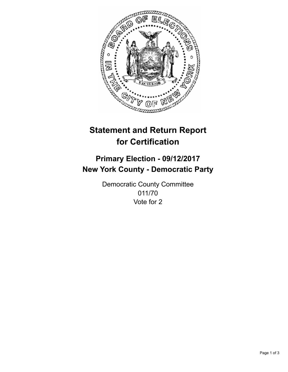

## **Statement and Return Report for Certification**

## **Primary Election - 09/12/2017 New York County - Democratic Party**

Democratic County Committee 011/70 Vote for 2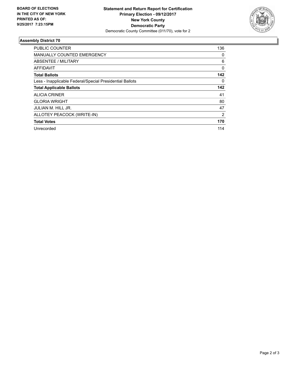

## **Assembly District 70**

| PUBLIC COUNTER                                           | 136            |
|----------------------------------------------------------|----------------|
| <b>MANUALLY COUNTED EMERGENCY</b>                        | 0              |
| ABSENTEE / MILITARY                                      | 6              |
| <b>AFFIDAVIT</b>                                         | $\Omega$       |
| <b>Total Ballots</b>                                     | 142            |
| Less - Inapplicable Federal/Special Presidential Ballots | 0              |
| <b>Total Applicable Ballots</b>                          | 142            |
| <b>ALICIA CRINER</b>                                     | 41             |
| <b>GLORIA WRIGHT</b>                                     | 80             |
| <b>JULIAN M. HILL JR.</b>                                | 47             |
| ALLOTEY PEACOCK (WRITE-IN)                               | $\overline{2}$ |
| <b>Total Votes</b>                                       | 170            |
| Unrecorded                                               | 114            |